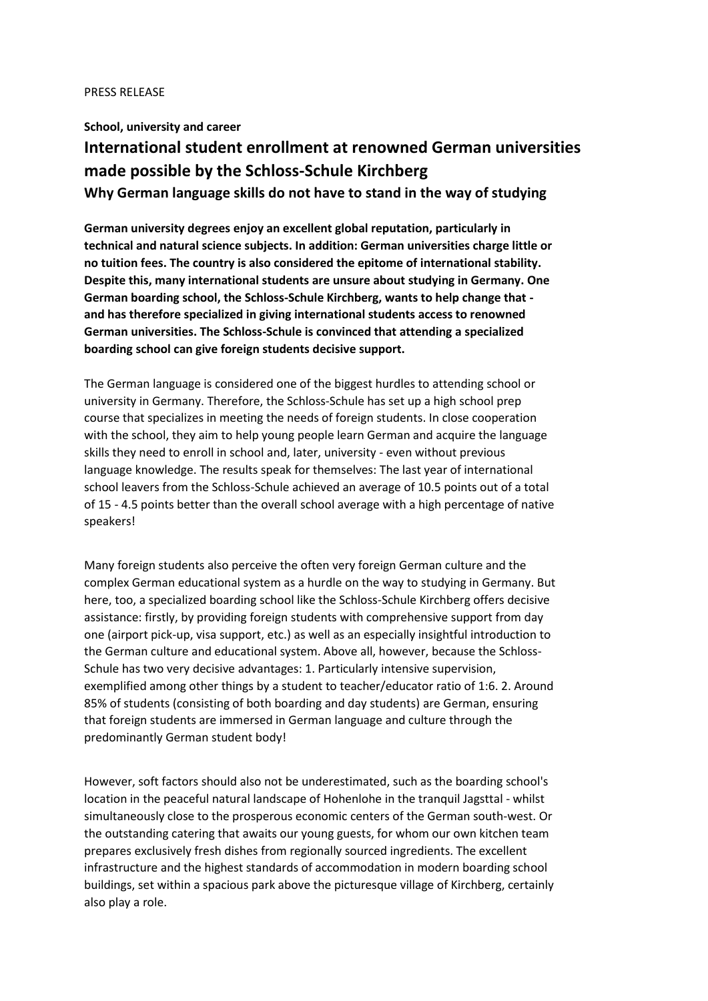## PRESS RELEASE

## **School, university and career International student enrollment at renowned German universities made possible by the Schloss-Schule Kirchberg Why German language skills do not have to stand in the way of studying**

**German university degrees enjoy an excellent global reputation, particularly in technical and natural science subjects. In addition: German universities charge little or no tuition fees. The country is also considered the epitome of international stability. Despite this, many international students are unsure about studying in Germany. One German boarding school, the Schloss-Schule Kirchberg, wants to help change that and has therefore specialized in giving international students access to renowned German universities. The Schloss-Schule is convinced that attending a specialized boarding school can give foreign students decisive support.**

The German language is considered one of the biggest hurdles to attending school or university in Germany. Therefore, the Schloss-Schule has set up a high school prep course that specializes in meeting the needs of foreign students. In close cooperation with the school, they aim to help young people learn German and acquire the language skills they need to enroll in school and, later, university - even without previous language knowledge. The results speak for themselves: The last year of international school leavers from the Schloss-Schule achieved an average of 10.5 points out of a total of 15 - 4.5 points better than the overall school average with a high percentage of native speakers!

Many foreign students also perceive the often very foreign German culture and the complex German educational system as a hurdle on the way to studying in Germany. But here, too, a specialized boarding school like the Schloss-Schule Kirchberg offers decisive assistance: firstly, by providing foreign students with comprehensive support from day one (airport pick-up, visa support, etc.) as well as an especially insightful introduction to the German culture and educational system. Above all, however, because the Schloss-Schule has two very decisive advantages: 1. Particularly intensive supervision, exemplified among other things by a student to teacher/educator ratio of 1:6. 2. Around 85% of students (consisting of both boarding and day students) are German, ensuring that foreign students are immersed in German language and culture through the predominantly German student body!

However, soft factors should also not be underestimated, such as the boarding school's location in the peaceful natural landscape of Hohenlohe in the tranquil Jagsttal - whilst simultaneously close to the prosperous economic centers of the German south-west. Or the outstanding catering that awaits our young guests, for whom our own kitchen team prepares exclusively fresh dishes from regionally sourced ingredients. The excellent infrastructure and the highest standards of accommodation in modern boarding school buildings, set within a spacious park above the picturesque village of Kirchberg, certainly also play a role.